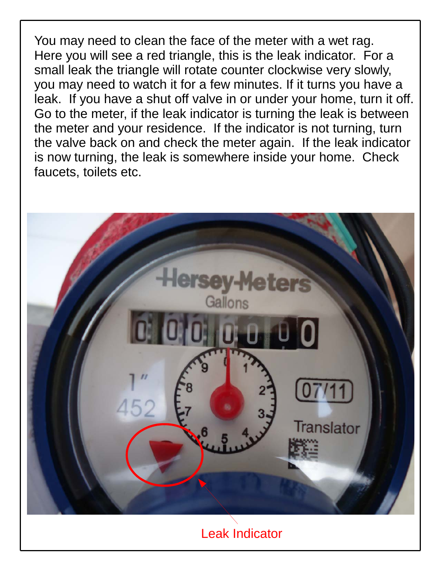You may need to clean the face of the meter with a wet rag. Here you will see a red triangle, this is the leak indicator. For a small leak the triangle will rotate counter clockwise very slowly, you may need to watch it for a few minutes. If it turns you have a leak. If you have a shut off valve in or under your home, turn it off. Go to the meter, if the leak indicator is turning the leak is between the meter and your residence. If the indicator is not turning, turn the valve back on and check the meter again. If the leak indicator is now turning, the leak is somewhere inside your home. Check faucets, toilets etc.